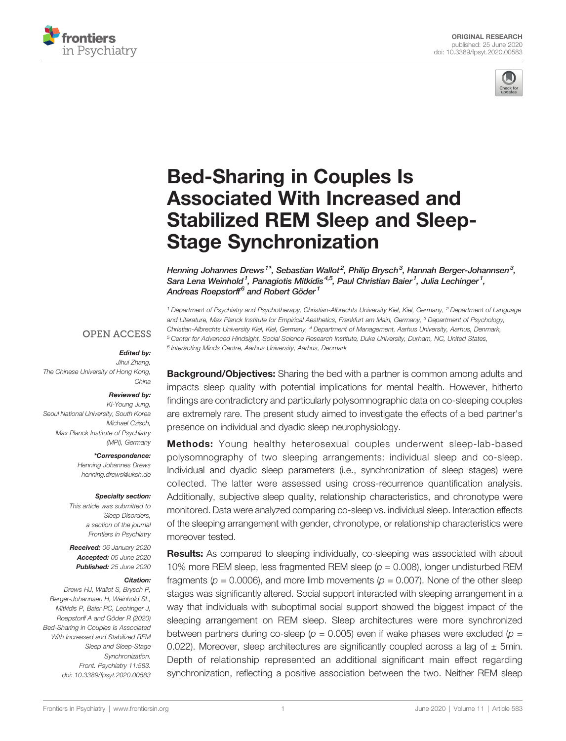



# [Bed-Sharing in Couples Is](https://www.frontiersin.org/articles/10.3389/fpsyt.2020.00583/full) [Associated With Increased and](https://www.frontiersin.org/articles/10.3389/fpsyt.2020.00583/full) [Stabilized REM Sleep and Sleep-](https://www.frontiersin.org/articles/10.3389/fpsyt.2020.00583/full)[Stage Synchronization](https://www.frontiersin.org/articles/10.3389/fpsyt.2020.00583/full)

[Henning Johannes Drews](https://loop.frontiersin.org/people/864733)<sup>1\*</sup>, [Sebastian Wallot](https://loop.frontiersin.org/people/33929)<sup>2</sup>, [Philip Brysch](https://loop.frontiersin.org/people/997668)<sup>3</sup>, [Hannah Berger-Johannsen](https://loop.frontiersin.org/people/1003512)<sup>3</sup>, Sara Lena Weinhold<sup>1</sup>, [Panagiotis Mitkidis](https://loop.frontiersin.org/people/164863)<sup>4,5</sup>, [Paul Christian Baier](https://loop.frontiersin.org/people/1004048)<sup>1</sup>, Julia Lechinger<sup>1</sup>, [Andreas Roepstorff](https://loop.frontiersin.org/people/204954) $^6$  and [Robert Göder](https://loop.frontiersin.org/people/866601)<sup>1</sup>

<sup>1</sup> Department of Psychiatry and Psychotherapy, Christian-Albrechts University Kiel, Kiel, Germany, <sup>2</sup> Department of Language and Literature, Max Planck Institute for Empirical Aesthetics, Frankfurt am Main, Germany, <sup>3</sup> Department of Psychology, Christian-Albrechts University Kiel, Kiel, Germany, <sup>4</sup> Department of Management, Aarhus University, Aarhus, Denmark, <sup>5</sup> Center for Advanced Hindsight, Social Science Research Institute, Duke University, Durham, NC, United States, <sup>6</sup> Interacting Minds Centre, Aarhus University, Aarhus, Denmark

## **OPEN ACCESS**

## Edited by:

Jihui Zhang, The Chinese University of Hong Kong, China

## Reviewed by:

Ki-Young Jung, Seoul National University, South Korea Michael Czisch, Max Planck Institute of Psychiatry (MPI), Germany

#### \*Correspondence:

Henning Johannes Drews [henning.drews@uksh.de](mailto:henning.drews@uksh.de)

#### Specialty section:

This article was submitted to Sleep Disorders, a section of the journal Frontiers in Psychiatry

Received: 06 January 2020 Accepted: 05 June 2020 Published: 25 June 2020

#### Citation:

Drews HJ, Wallot S, Brysch P, Berger-Johannsen H, Weinhold SL, Mitkidis P, Baier PC, Lechinger J, Roepstorff A and Göder R (2020) Bed-Sharing in Couples Is Associated With Increased and Stabilized REM Sleep and Sleep-Stage Synchronization. Front. Psychiatry 11:583. [doi: 10.3389/fpsyt.2020.00583](https://doi.org/10.3389/fpsyt.2020.00583)

**Background/Objectives:** Sharing the bed with a partner is common among adults and impacts sleep quality with potential implications for mental health. However, hitherto findings are contradictory and particularly polysomnographic data on co-sleeping couples are extremely rare. The present study aimed to investigate the effects of a bed partner's presence on individual and dyadic sleep neurophysiology.

Methods: Young healthy heterosexual couples underwent sleep-lab-based polysomnography of two sleeping arrangements: individual sleep and co-sleep. Individual and dyadic sleep parameters (i.e., synchronization of sleep stages) were collected. The latter were assessed using cross-recurrence quantification analysis. Additionally, subjective sleep quality, relationship characteristics, and chronotype were monitored. Data were analyzed comparing co-sleep vs. individual sleep. Interaction effects of the sleeping arrangement with gender, chronotype, or relationship characteristics were moreover tested.

Results: As compared to sleeping individually, co-sleeping was associated with about 10% more REM sleep, less fragmented REM sleep ( $p = 0.008$ ), longer undisturbed REM fragments ( $p = 0.0006$ ), and more limb movements ( $p = 0.007$ ). None of the other sleep stages was significantly altered. Social support interacted with sleeping arrangement in a way that individuals with suboptimal social support showed the biggest impact of the sleeping arrangement on REM sleep. Sleep architectures were more synchronized between partners during co-sleep ( $p = 0.005$ ) even if wake phases were excluded ( $p =$ 0.022). Moreover, sleep architectures are significantly coupled across a lag of  $\pm$  5min. Depth of relationship represented an additional significant main effect regarding synchronization, reflecting a positive association between the two. Neither REM sleep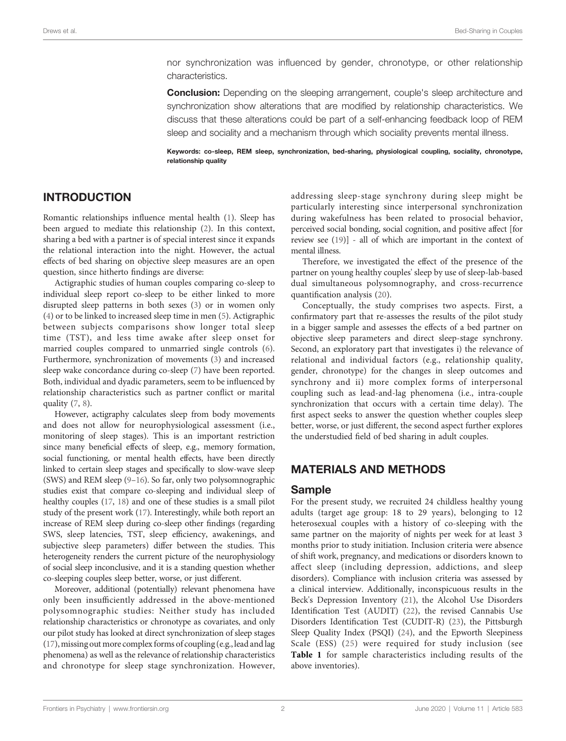nor synchronization was influenced by gender, chronotype, or other relationship characteristics.

**Conclusion:** Depending on the sleeping arrangement, couple's sleep architecture and synchronization show alterations that are modified by relationship characteristics. We discuss that these alterations could be part of a self-enhancing feedback loop of REM sleep and sociality and a mechanism through which sociality prevents mental illness.

Keywords: co-sleep, REM sleep, synchronization, bed-sharing, physiological coupling, sociality, chronotype, relationship quality

# INTRODUCTION

Romantic relationships influence mental health ([1](#page-9-0)). Sleep has been argued to mediate this relationship [\(2\)](#page-9-0). In this context, sharing a bed with a partner is of special interest since it expands the relational interaction into the night. However, the actual effects of bed sharing on objective sleep measures are an open question, since hitherto findings are diverse:

Actigraphic studies of human couples comparing co-sleep to individual sleep report co-sleep to be either linked to more disrupted sleep patterns in both sexes ([3](#page-9-0)) or in women only ([4](#page-9-0)) or to be linked to increased sleep time in men [\(5\)](#page-9-0). Actigraphic between subjects comparisons show longer total sleep time (TST), and less time awake after sleep onset for married couples compared to unmarried single controls [\(6\)](#page-9-0). Furthermore, synchronization of movements ([3\)](#page-9-0) and increased sleep wake concordance during co-sleep ([7](#page-9-0)) have been reported. Both, individual and dyadic parameters, seem to be influenced by relationship characteristics such as partner conflict or marital quality [\(7](#page-9-0), [8\)](#page-9-0).

However, actigraphy calculates sleep from body movements and does not allow for neurophysiological assessment (i.e., monitoring of sleep stages). This is an important restriction since many beneficial effects of sleep, e.g., memory formation, social functioning, or mental health effects, have been directly linked to certain sleep stages and specifically to slow-wave sleep (SWS) and REM sleep ([9](#page-9-0)–[16\)](#page-10-0). So far, only two polysomnographic studies exist that compare co-sleeping and individual sleep of healthy couples ([17](#page-10-0), [18](#page-10-0)) and one of these studies is a small pilot study of the present work ([17\)](#page-10-0). Interestingly, while both report an increase of REM sleep during co-sleep other findings (regarding SWS, sleep latencies, TST, sleep efficiency, awakenings, and subjective sleep parameters) differ between the studies. This heterogeneity renders the current picture of the neurophysiology of social sleep inconclusive, and it is a standing question whether co-sleeping couples sleep better, worse, or just different.

Moreover, additional (potentially) relevant phenomena have only been insufficiently addressed in the above-mentioned polysomnographic studies: Neither study has included relationship characteristics or chronotype as covariates, and only our pilot study has looked at direct synchronization of sleep stages ([17](#page-10-0)), missing out more complex forms of coupling (e.g., lead and lag phenomena) as well as the relevance of relationship characteristics and chronotype for sleep stage synchronization. However,

addressing sleep-stage synchrony during sleep might be particularly interesting since interpersonal synchronization during wakefulness has been related to prosocial behavior, perceived social bonding, social cognition, and positive affect [for review see [\(19](#page-10-0))] - all of which are important in the context of mental illness.

Therefore, we investigated the effect of the presence of the partner on young healthy couples' sleep by use of sleep-lab-based dual simultaneous polysomnography, and cross-recurrence quantification analysis ([20\)](#page-10-0).

Conceptually, the study comprises two aspects. First, a confirmatory part that re-assesses the results of the pilot study in a bigger sample and assesses the effects of a bed partner on objective sleep parameters and direct sleep-stage synchrony. Second, an exploratory part that investigates i) the relevance of relational and individual factors (e.g., relationship quality, gender, chronotype) for the changes in sleep outcomes and synchrony and ii) more complex forms of interpersonal coupling such as lead-and-lag phenomena (i.e., intra-couple synchronization that occurs with a certain time delay). The first aspect seeks to answer the question whether couples sleep better, worse, or just different, the second aspect further explores the understudied field of bed sharing in adult couples.

# MATERIALS AND METHODS

#### Sample

For the present study, we recruited 24 childless healthy young adults (target age group: 18 to 29 years), belonging to 12 heterosexual couples with a history of co-sleeping with the same partner on the majority of nights per week for at least 3 months prior to study initiation. Inclusion criteria were absence of shift work, pregnancy, and medications or disorders known to affect sleep (including depression, addictions, and sleep disorders). Compliance with inclusion criteria was assessed by a clinical interview. Additionally, inconspicuous results in the Beck's Depression Inventory [\(21](#page-10-0)), the Alcohol Use Disorders Identification Test (AUDIT) [\(22\)](#page-10-0), the revised Cannabis Use Disorders Identification Test (CUDIT-R) [\(23](#page-10-0)), the Pittsburgh Sleep Quality Index (PSQI) ([24\)](#page-10-0), and the Epworth Sleepiness Scale (ESS) ([25](#page-10-0)) were required for study inclusion (see [Table 1](#page-2-0) for sample characteristics including results of the above inventories).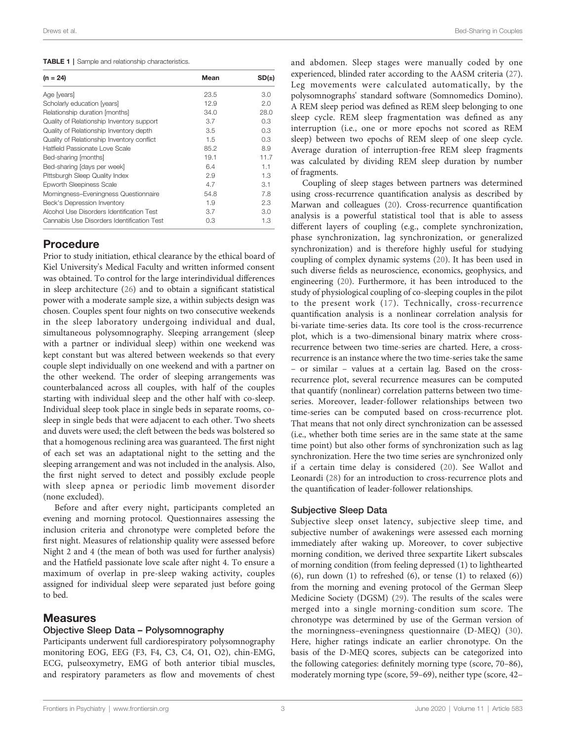#### <span id="page-2-0"></span>TABLE 1 | Sample and relationship characteristics.

| $(n = 24)$                                 | Mean | SD(±) |
|--------------------------------------------|------|-------|
| Age [years]                                | 23.5 | 3.0   |
| Scholarly education [years]                | 12.9 | 2.0   |
| Relationship duration [months]             | 34.0 | 28.0  |
| Quality of Relationship Inventory support  | 3.7  | 0.3   |
| Quality of Relationship Inventory depth    | 3.5  | 0.3   |
| Quality of Relationship Inventory conflict | 1.5  | 0.3   |
| Hatfield Passionate Love Scale             | 85.2 | 8.9   |
| Bed-sharing [months]                       | 19.1 | 11.7  |
| Bed-sharing [days per week]                | 6.4  | 1.1   |
| Pittsburgh Sleep Quality Index             | 2.9  | 1.3   |
| <b>Epworth Sleepiness Scale</b>            | 4.7  | 3.1   |
| Morningness-Eveningness Questionnaire      | 54.8 | 7.8   |
| Beck's Depression Inventory                | 1.9  | 2.3   |
| Alcohol Use Disorders Identification Test  | 3.7  | 3.0   |
| Cannabis Use Disorders Identification Test | 0.3  | 1.3   |
|                                            |      |       |

# Procedure

Prior to study initiation, ethical clearance by the ethical board of Kiel University's Medical Faculty and written informed consent was obtained. To control for the large interindividual differences in sleep architecture ([26\)](#page-10-0) and to obtain a significant statistical power with a moderate sample size, a within subjects design was chosen. Couples spent four nights on two consecutive weekends in the sleep laboratory undergoing individual and dual, simultaneous polysomnography. Sleeping arrangement (sleep with a partner or individual sleep) within one weekend was kept constant but was altered between weekends so that every couple slept individually on one weekend and with a partner on the other weekend. The order of sleeping arrangements was counterbalanced across all couples, with half of the couples starting with individual sleep and the other half with co-sleep. Individual sleep took place in single beds in separate rooms, cosleep in single beds that were adjacent to each other. Two sheets and duvets were used; the cleft between the beds was bolstered so that a homogenous reclining area was guaranteed. The first night of each set was an adaptational night to the setting and the sleeping arrangement and was not included in the analysis. Also, the first night served to detect and possibly exclude people with sleep apnea or periodic limb movement disorder (none excluded).

Before and after every night, participants completed an evening and morning protocol. Questionnaires assessing the inclusion criteria and chronotype were completed before the first night. Measures of relationship quality were assessed before Night 2 and 4 (the mean of both was used for further analysis) and the Hatfield passionate love scale after night 4. To ensure a maximum of overlap in pre-sleep waking activity, couples assigned for individual sleep were separated just before going to bed.

#### Measures

#### Objective Sleep Data – Polysomnography

Participants underwent full cardiorespiratory polysomnography monitoring EOG, EEG (F3, F4, C3, C4, O1, O2), chin-EMG, ECG, pulseoxymetry, EMG of both anterior tibial muscles, and respiratory parameters as flow and movements of chest and abdomen. Sleep stages were manually coded by one experienced, blinded rater according to the AASM criteria [\(27\)](#page-10-0). Leg movements were calculated automatically, by the polysomnographs' standard software (Somnomedics Domino). A REM sleep period was defined as REM sleep belonging to one sleep cycle. REM sleep fragmentation was defined as any interruption (i.e., one or more epochs not scored as REM sleep) between two epochs of REM sleep of one sleep cycle. Average duration of interruption-free REM sleep fragments was calculated by dividing REM sleep duration by number of fragments.

Coupling of sleep stages between partners was determined using cross-recurrence quantification analysis as described by Marwan and colleagues ([20](#page-10-0)). Cross-recurrence quantification analysis is a powerful statistical tool that is able to assess different layers of coupling (e.g., complete synchronization, phase synchronization, lag synchronization, or generalized synchronization) and is therefore highly useful for studying coupling of complex dynamic systems [\(20](#page-10-0)). It has been used in such diverse fields as neuroscience, economics, geophysics, and engineering [\(20](#page-10-0)). Furthermore, it has been introduced to the study of physiological coupling of co-sleeping couples in the pilot to the present work ([17\)](#page-10-0). Technically, cross-recurrence quantification analysis is a nonlinear correlation analysis for bi-variate time-series data. Its core tool is the cross-recurrence plot, which is a two-dimensional binary matrix where crossrecurrence between two time-series are charted. Here, a crossrecurrence is an instance where the two time-series take the same – or similar – values at a certain lag. Based on the crossrecurrence plot, several recurrence measures can be computed that quantify (nonlinear) correlation patterns between two timeseries. Moreover, leader-follower relationships between two time-series can be computed based on cross-recurrence plot. That means that not only direct synchronization can be assessed (i.e., whether both time series are in the same state at the same time point) but also other forms of synchronization such as lag synchronization. Here the two time series are synchronized only if a certain time delay is considered ([20\)](#page-10-0). See Wallot and Leonardi [\(28](#page-10-0)) for an introduction to cross-recurrence plots and the quantification of leader-follower relationships.

#### Subjective Sleep Data

Subjective sleep onset latency, subjective sleep time, and subjective number of awakenings were assessed each morning immediately after waking up. Moreover, to cover subjective morning condition, we derived three sexpartite Likert subscales of morning condition (from feeling depressed (1) to lighthearted (6), run down (1) to refreshed (6), or tense (1) to relaxed (6)) from the morning and evening protocol of the German Sleep Medicine Society (DGSM) ([29\)](#page-10-0). The results of the scales were merged into a single morning-condition sum score. The chronotype was determined by use of the German version of the morningness–eveningness questionnaire (D-MEQ) ([30](#page-10-0)). Here, higher ratings indicate an earlier chronotype. On the basis of the D-MEQ scores, subjects can be categorized into the following categories: definitely morning type (score, 70–86), moderately morning type (score, 59–69), neither type (score, 42–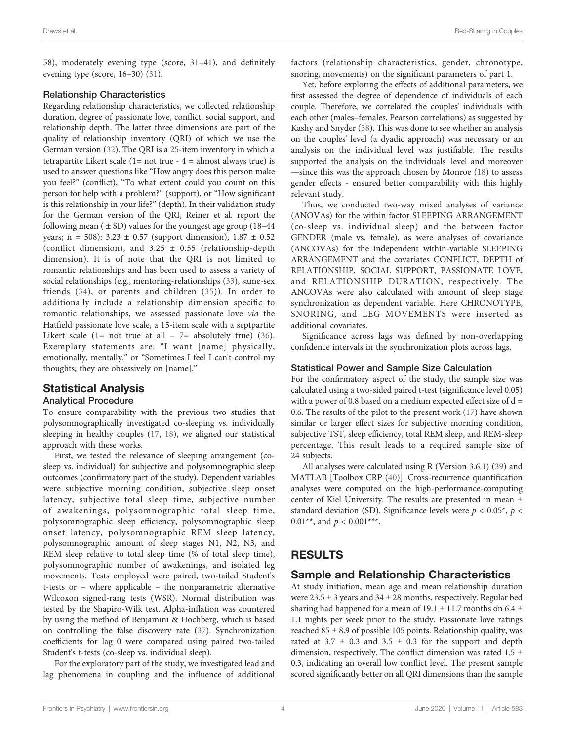58), moderately evening type (score, 31–41), and definitely evening type (score, 16–30) ([31\)](#page-10-0).

#### Relationship Characteristics

Regarding relationship characteristics, we collected relationship duration, degree of passionate love, conflict, social support, and relationship depth. The latter three dimensions are part of the quality of relationship inventory (QRI) of which we use the German version [\(32](#page-10-0)). The QRI is a 25-item inventory in which a tetrapartite Likert scale ( $1=$  not true -  $4=$  almost always true) is used to answer questions like "How angry does this person make you feel?" (conflict), "To what extent could you count on this person for help with a problem?" (support), or "How significant is this relationship in your life?" (depth). In their validation study for the German version of the QRI, Reiner et al. report the following mean  $(± SD)$  values for the youngest age group  $(18-44)$ years; n = 508):  $3.23 \pm 0.57$  (support dimension),  $1.87 \pm 0.52$ (conflict dimension), and  $3.25 \pm 0.55$  (relationship-depth dimension). It is of note that the QRI is not limited to romantic relationships and has been used to assess a variety of social relationships (e.g., mentoring-relationships ([33\)](#page-10-0), same-sex friends [\(34](#page-10-0)), or parents and children [\(35](#page-10-0))). In order to additionally include a relationship dimension specific to romantic relationships, we assessed passionate love via the Hatfield passionate love scale, a 15-item scale with a septpartite Likert scale (1= not true at all -  $7=$  absolutely true) [\(36\)](#page-10-0). Exemplary statements are: "I want [name] physically, emotionally, mentally." or "Sometimes I feel I can't control my thoughts; they are obsessively on [name]."

# Statistical Analysis

#### Analytical Procedure

To ensure comparability with the previous two studies that polysomnographically investigated co-sleeping vs. individually sleeping in healthy couples [\(17](#page-10-0), [18](#page-10-0)), we aligned our statistical approach with these works.

First, we tested the relevance of sleeping arrangement (cosleep vs. individual) for subjective and polysomnographic sleep outcomes (confirmatory part of the study). Dependent variables were subjective morning condition, subjective sleep onset latency, subjective total sleep time, subjective number of awakenings, polysomnographic total sleep time, polysomnographic sleep efficiency, polysomnographic sleep onset latency, polysomnographic REM sleep latency, polysomnographic amount of sleep stages N1, N2, N3, and REM sleep relative to total sleep time (% of total sleep time), polysomnographic number of awakenings, and isolated leg movements. Tests employed were paired, two-tailed Student's t-tests or – where applicable – the nonparametric alternative Wilcoxon signed-rang tests (WSR). Normal distribution was tested by the Shapiro-Wilk test. Alpha-inflation was countered by using the method of Benjamini & Hochberg, which is based on controlling the false discovery rate ([37\)](#page-10-0). Synchronization coefficients for lag 0 were compared using paired two-tailed Student's t-tests (co-sleep vs. individual sleep).

For the exploratory part of the study, we investigated lead and lag phenomena in coupling and the influence of additional factors (relationship characteristics, gender, chronotype, snoring, movements) on the significant parameters of part 1.

Yet, before exploring the effects of additional parameters, we first assessed the degree of dependence of individuals of each couple. Therefore, we correlated the couples' individuals with each other (males–females, Pearson correlations) as suggested by Kashy and Snyder ([38\)](#page-10-0). This was done to see whether an analysis on the couples' level (a dyadic approach) was necessary or an analysis on the individual level was justifiable. The results supported the analysis on the individuals' level and moreover —since this was the approach chosen by Monroe ([18](#page-10-0)) to assess gender effects - ensured better comparability with this highly relevant study.

Thus, we conducted two-way mixed analyses of variance (ANOVAs) for the within factor SLEEPING ARRANGEMENT (co-sleep vs. individual sleep) and the between factor GENDER (male vs. female), as were analyses of covariance (ANCOVAs) for the independent within-variable SLEEPING ARRANGEMENT and the covariates CONFLICT, DEPTH of RELATIONSHIP, SOCIAL SUPPORT, PASSIONATE LOVE, and RELATIONSHIP DURATION, respectively. The ANCOVAs were also calculated with amount of sleep stage synchronization as dependent variable. Here CHRONOTYPE, SNORING, and LEG MOVEMENTS were inserted as additional covariates.

Significance across lags was defined by non-overlapping confidence intervals in the synchronization plots across lags.

#### Statistical Power and Sample Size Calculation

For the confirmatory aspect of the study, the sample size was calculated using a two-sided paired t-test (significance level 0.05) with a power of 0.8 based on a medium expected effect size of  $d =$ 0.6. The results of the pilot to the present work [\(17](#page-10-0)) have shown similar or larger effect sizes for subjective morning condition, subjective TST, sleep efficiency, total REM sleep, and REM-sleep percentage. This result leads to a required sample size of 24 subjects.

All analyses were calculated using R (Version 3.6.1) ([39\)](#page-10-0) and MATLAB [Toolbox CRP [\(40\)](#page-10-0)]. Cross-recurrence quantification analyses were computed on the high-performance-computing center of Kiel University. The results are presented in mean ± standard deviation (SD). Significance levels were  $p < 0.05^*$ ,  $p <$ 0.01\*\*, and  $p < 0.001***$ .

# RESULTS

# Sample and Relationship Characteristics

At study initiation, mean age and mean relationship duration were 23.5 ± 3 years and 34 ± 28 months, respectively. Regular bed sharing had happened for a mean of 19.1  $\pm$  11.7 months on 6.4  $\pm$ 1.1 nights per week prior to the study. Passionate love ratings reached  $85 \pm 8.9$  of possible 105 points. Relationship quality, was rated at  $3.7 \pm 0.3$  and  $3.5 \pm 0.3$  for the support and depth dimension, respectively. The conflict dimension was rated 1.5 ± 0.3, indicating an overall low conflict level. The present sample scored significantly better on all QRI dimensions than the sample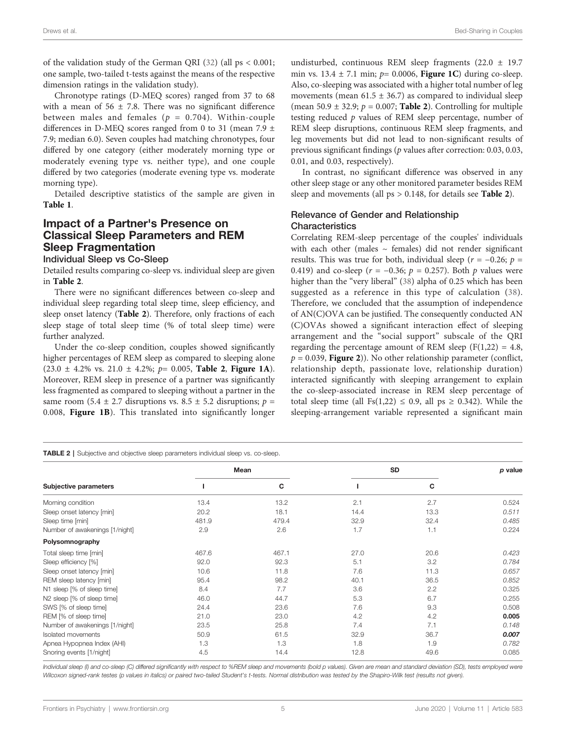of the validation study of the German QRI ([32\)](#page-10-0) (all ps < 0.001; one sample, two-tailed t-tests against the means of the respective dimension ratings in the validation study).

Chronotype ratings (D-MEQ scores) ranged from 37 to 68 with a mean of  $56 \pm 7.8$ . There was no significant difference between males and females ( $p = 0.704$ ). Within-couple differences in D-MEQ scores ranged from 0 to 31 (mean 7.9  $\pm$ 7.9; median 6.0). Seven couples had matching chronotypes, four differed by one category (either moderately morning type or moderately evening type vs. neither type), and one couple differed by two categories (moderate evening type vs. moderate morning type).

Detailed descriptive statistics of the sample are given in [Table 1](#page-2-0).

# Impact of a Partner's Presence on Classical Sleep Parameters and REM Sleep Fragmentation

Individual Sleep vs Co-Sleep

Detailed results comparing co-sleep vs. individual sleep are given in Table 2.

There were no significant differences between co-sleep and individual sleep regarding total sleep time, sleep efficiency, and sleep onset latency (Table 2). Therefore, only fractions of each sleep stage of total sleep time (% of total sleep time) were further analyzed.

Under the co-sleep condition, couples showed significantly higher percentages of REM sleep as compared to sleeping alone  $(23.0 \pm 4.2\% \text{ vs. } 21.0 \pm 4.2\%; p= 0.005, \text{ Table 2, Figure 1A}).$  $(23.0 \pm 4.2\% \text{ vs. } 21.0 \pm 4.2\%; p= 0.005, \text{ Table 2, Figure 1A}).$  $(23.0 \pm 4.2\% \text{ vs. } 21.0 \pm 4.2\%; p= 0.005, \text{ Table 2, Figure 1A}).$ Moreover, REM sleep in presence of a partner was significantly less fragmented as compared to sleeping without a partner in the same room (5.4  $\pm$  2.7 disruptions vs. 8.5  $\pm$  5.2 disruptions;  $p =$ 0.008, [Figure 1B](#page-5-0)). This translated into significantly longer

TABLE 2 | Subjective and objective sleep parameters individual sleep vs. co-sleep.

undisturbed, continuous REM sleep fragments  $(22.0 \pm 19.7)$ min vs.  $13.4 \pm 7.1$  min;  $p= 0.0006$ , [Figure 1C](#page-5-0)) during co-sleep. Also, co-sleeping was associated with a higher total number of leg movements (mean  $61.5 \pm 36.7$ ) as compared to individual sleep (mean 50.9  $\pm$  32.9;  $p = 0.007$ ; **Table 2**). Controlling for multiple testing reduced  $p$  values of REM sleep percentage, number of REM sleep disruptions, continuous REM sleep fragments, and leg movements but did not lead to non-significant results of previous significant findings (p values after correction: 0.03, 0.03, 0.01, and 0.03, respectively).

In contrast, no significant difference was observed in any other sleep stage or any other monitored parameter besides REM sleep and movements (all ps > 0.148, for details see Table 2).

#### Relevance of Gender and Relationship **Characteristics**

Correlating REM-sleep percentage of the couples' individuals with each other (males  $\sim$  females) did not render significant results. This was true for both, individual sleep ( $r = -0.26$ ;  $p =$ 0.419) and co-sleep ( $r = -0.36$ ;  $p = 0.257$ ). Both p values were higher than the "very liberal" ([38\)](#page-10-0) alpha of 0.25 which has been suggested as a reference in this type of calculation ([38](#page-10-0)). Therefore, we concluded that the assumption of independence of AN(C)OVA can be justified. The consequently conducted AN (C)OVAs showed a significant interaction effect of sleeping arrangement and the "social support" subscale of the QRI regarding the percentage amount of REM sleep  $(F(1,22) = 4.8,$  $p = 0.039$ , [Figure 2](#page-6-0))). No other relationship parameter (conflict, relationship depth, passionate love, relationship duration) interacted significantly with sleeping arrangement to explain the co-sleep-associated increase in REM sleep percentage of total sleep time (all Fs(1,22)  $\leq$  0.9, all ps  $\geq$  0.342). While the sleeping-arrangement variable represented a significant main

| Subjective parameters          | Mean  |       | <b>SD</b> |      | p value |  |  |  |
|--------------------------------|-------|-------|-----------|------|---------|--|--|--|
|                                |       | C     |           | С    |         |  |  |  |
| Morning condition              | 13.4  | 13.2  | 2.1       | 2.7  | 0.524   |  |  |  |
| Sleep onset latency [min]      | 20.2  | 18.1  | 14.4      | 13.3 | 0.511   |  |  |  |
| Sleep time [min]               | 481.9 | 479.4 | 32.9      | 32.4 | 0.485   |  |  |  |
| Number of awakenings [1/night] | 2.9   | 2.6   | 1.7       | 1.1  | 0.224   |  |  |  |
| Polysomnography                |       |       |           |      |         |  |  |  |
| Total sleep time [min]         | 467.6 | 467.1 | 27.0      | 20.6 | 0.423   |  |  |  |
| Sleep efficiency [%]           | 92.0  | 92.3  | 5.1       | 3.2  | 0.784   |  |  |  |
| Sleep onset latency [min]      | 10.6  | 11.8  | 7.6       | 11.3 | 0.657   |  |  |  |
| REM sleep latency [min]        | 95.4  | 98.2  | 40.1      | 36.5 | 0.852   |  |  |  |
| N1 sleep [% of sleep time]     | 8.4   | 7.7   | 3.6       | 2.2  | 0.325   |  |  |  |
| N2 sleep [% of sleep time]     | 46.0  | 44.7  | 5.3       | 6.7  | 0.255   |  |  |  |
| SWS [% of sleep time]          | 24.4  | 23.6  | 7.6       | 9.3  | 0.508   |  |  |  |
| REM [% of sleep time]          | 21.0  | 23.0  | 4.2       | 4.2  | 0.005   |  |  |  |
| Number of awakenings [1/night] | 23.5  | 25.8  | 7.4       | 7.1  | 0.148   |  |  |  |
| Isolated movements             | 50.9  | 61.5  | 32.9      | 36.7 | 0.007   |  |  |  |
| Apnea Hypopnea Index (AHI)     | 1.3   | 1.3   | 1.8       | 1.9  | 0.782   |  |  |  |
| Snoring events [1/night]       | 4.5   | 14.4  | 12.8      | 49.6 | 0.085   |  |  |  |

Individual sleep (I) and co-sleep (C) differed significantly with respect to %REM sleep and movements (bold p values). Given are mean and standard deviation (SD), tests employed were Wilcoxon signed-rank testes (p values in italics) or paired two-tailed Student's t-tests. Normal distribution was tested by the Shapiro-Wilk test (results not given).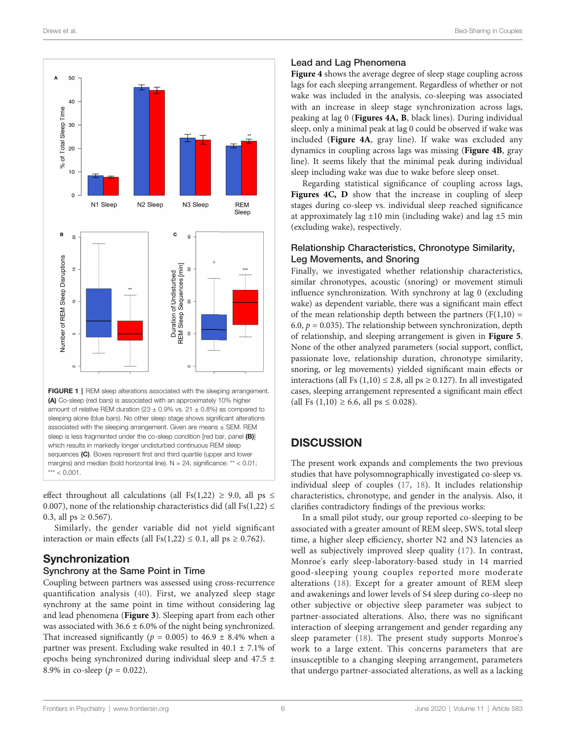<span id="page-5-0"></span>

FIGURE 1 | REM sleep alterations associated with the sleeping arrangement. (A) Co-sleep (red bars) is associated with an approximately 10% higher amount of relative REM duration (23  $\pm$  0.9% vs. 21  $\pm$  0.8%) as compared to sleeping alone (blue bars). No other sleep stage shows significant alterations associated with the sleeping arrangement. Given are means  $\pm$  SEM. REM sleep is less fragmented under the co-sleep condition [red bar, panel (B)] which results in markedly longer undisturbed continuous REM sleep sequences (C). Boxes represent first and third quartile (upper and lower margins) and median (bold horizontal line). N = 24, significance: \*\* < 0.01;  $*** < 0.001$ .

effect throughout all calculations (all Fs(1,22)  $\geq$  9.0, all ps  $\leq$ 0.007), none of the relationship characteristics did (all Fs(1,22)  $\leq$ 0.3, all  $ps \ge 0.567$ ).

Similarly, the gender variable did not yield significant interaction or main effects (all Fs(1,22)  $\leq$  0.1, all ps  $\geq$  0.762).

# Synchronization

#### Synchrony at the Same Point in Time

Coupling between partners was assessed using cross-recurrence quantification analysis ([40](#page-10-0)). First, we analyzed sleep stage synchrony at the same point in time without considering lag and lead phenomena ([Figure 3](#page-6-0)). Sleeping apart from each other was associated with  $36.6 \pm 6.0\%$  of the night being synchronized. That increased significantly ( $p = 0.005$ ) to 46.9  $\pm$  8.4% when a partner was present. Excluding wake resulted in  $40.1 \pm 7.1\%$  of epochs being synchronized during individual sleep and 47.5 ± 8.9% in co-sleep ( $p = 0.022$ ).

#### Lead and Lag Phenomena

[Figure 4](#page-7-0) shows the average degree of sleep stage coupling across lags for each sleeping arrangement. Regardless of whether or not wake was included in the analysis, co-sleeping was associated with an increase in sleep stage synchronization across lags, peaking at lag 0 ([Figures 4A, B](#page-7-0), black lines). During individual sleep, only a minimal peak at lag 0 could be observed if wake was included ([Figure 4A](#page-7-0), gray line). If wake was excluded any dynamics in coupling across lags was missing ([Figure 4B](#page-7-0), gray line). It seems likely that the minimal peak during individual sleep including wake was due to wake before sleep onset.

Regarding statistical significance of coupling across lags, [Figures 4C, D](#page-7-0) show that the increase in coupling of sleep stages during co-sleep vs. individual sleep reached significance at approximately lag  $\pm 10$  min (including wake) and lag  $\pm 5$  min (excluding wake), respectively.

#### Relationship Characteristics, Chronotype Similarity, Leg Movements, and Snoring

Finally, we investigated whether relationship characteristics, similar chronotypes, acoustic (snoring) or movement stimuli influence synchronization. With synchrony at lag 0 (excluding wake) as dependent variable, there was a significant main effect of the mean relationship depth between the partners  $(F(1,10) =$ 6.0,  $p = 0.035$ ). The relationship between synchronization, depth of relationship, and sleeping arrangement is given in [Figure 5](#page-8-0). None of the other analyzed parameters (social support, conflict, passionate love, relationship duration, chronotype similarity, snoring, or leg movements) yielded significant main effects or interactions (all Fs  $(1,10) \le 2.8$ , all ps  $\ge 0.127$ ). In all investigated cases, sleeping arrangement represented a significant main effect (all Fs  $(1,10) \ge 6.6$ , all ps  $\le 0.028$ ).

# **DISCUSSION**

The present work expands and complements the two previous studies that have polysomnographically investigated co-sleep vs. individual sleep of couples ([17](#page-10-0), [18](#page-10-0)). It includes relationship characteristics, chronotype, and gender in the analysis. Also, it clarifies contradictory findings of the previous works:

In a small pilot study, our group reported co-sleeping to be associated with a greater amount of REM sleep, SWS, total sleep time, a higher sleep efficiency, shorter N2 and N3 latencies as well as subjectively improved sleep quality ([17](#page-10-0)). In contrast, Monroe's early sleep-laboratory-based study in 14 married good-sleeping young couples reported more moderate alterations ([18\)](#page-10-0). Except for a greater amount of REM sleep and awakenings and lower levels of S4 sleep during co-sleep no other subjective or objective sleep parameter was subject to partner-associated alterations. Also, there was no significant interaction of sleeping arrangement and gender regarding any sleep parameter [\(18\)](#page-10-0). The present study supports Monroe's work to a large extent. This concerns parameters that are insusceptible to a changing sleeping arrangement, parameters that undergo partner-associated alterations, as well as a lacking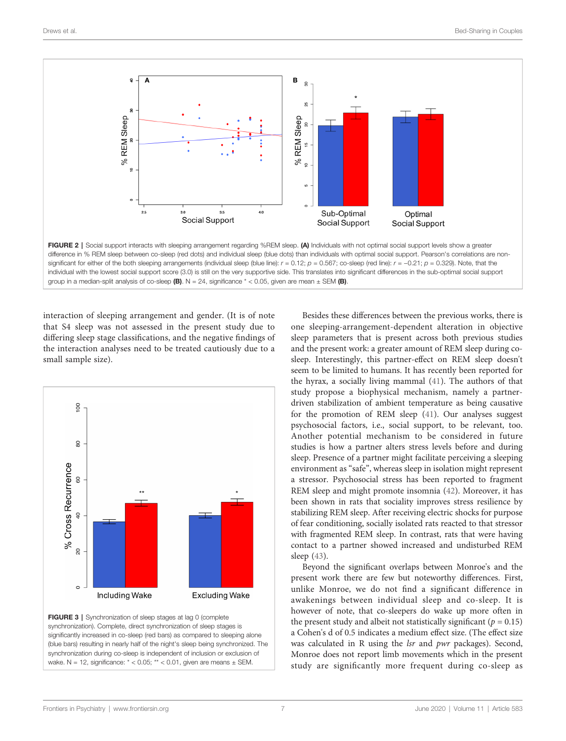<span id="page-6-0"></span>

difference in % REM sleep between co-sleep (red dots) and individual sleep (blue dots) than individuals with optimal social support. Pearson's correlations are nonsignificant for either of the both sleeping arrangements (individual sleep (blue line):  $r = 0.12$ ;  $p = 0.567$ ; co-sleep (red line):  $r = -0.21$ ;  $p = 0.329$ . Note, that the individual with the lowest social support score (3.0) is still on the very supportive side. This translates into significant differences in the sub-optimal social support group in a median-split analysis of co-sleep (B).  $N = 24$ , significance  $* < 0.05$ , given are mean  $\pm$  SEM (B).

interaction of sleeping arrangement and gender. (It is of note that S4 sleep was not assessed in the present study due to differing sleep stage classifications, and the negative findings of the interaction analyses need to be treated cautiously due to a small sample size).



FIGURE 3 | Synchronization of sleep stages at lag 0 (complete synchronization). Complete, direct synchronization of sleep stages is significantly increased in co-sleep (red bars) as compared to sleeping alone (blue bars) resulting in nearly half of the night's sleep being synchronized. The synchronization during co-sleep is independent of inclusion or exclusion of wake.  $N = 12$ , significance:  $* < 0.05$ ;  $** < 0.01$ , given are means  $\pm$  SEM.

Besides these differences between the previous works, there is one sleeping-arrangement-dependent alteration in objective sleep parameters that is present across both previous studies and the present work: a greater amount of REM sleep during cosleep. Interestingly, this partner-effect on REM sleep doesn't seem to be limited to humans. It has recently been reported for the hyrax, a socially living mammal [\(41\)](#page-10-0). The authors of that study propose a biophysical mechanism, namely a partnerdriven stabilization of ambient temperature as being causative for the promotion of REM sleep [\(41](#page-10-0)). Our analyses suggest psychosocial factors, i.e., social support, to be relevant, too. Another potential mechanism to be considered in future studies is how a partner alters stress levels before and during sleep. Presence of a partner might facilitate perceiving a sleeping environment as "safe", whereas sleep in isolation might represent a stressor. Psychosocial stress has been reported to fragment REM sleep and might promote insomnia ([42\)](#page-10-0). Moreover, it has been shown in rats that sociality improves stress resilience by stabilizing REM sleep. After receiving electric shocks for purpose of fear conditioning, socially isolated rats reacted to that stressor with fragmented REM sleep. In contrast, rats that were having contact to a partner showed increased and undisturbed REM sleep ([43](#page-10-0)).

Beyond the significant overlaps between Monroe's and the present work there are few but noteworthy differences. First, unlike Monroe, we do not find a significant difference in awakenings between individual sleep and co-sleep. It is however of note, that co-sleepers do wake up more often in the present study and albeit not statistically significant ( $p = 0.15$ ) a Cohen's d of 0.5 indicates a medium effect size. (The effect size was calculated in R using the lsr and pwr packages). Second, Monroe does not report limb movements which in the present study are significantly more frequent during co-sleep as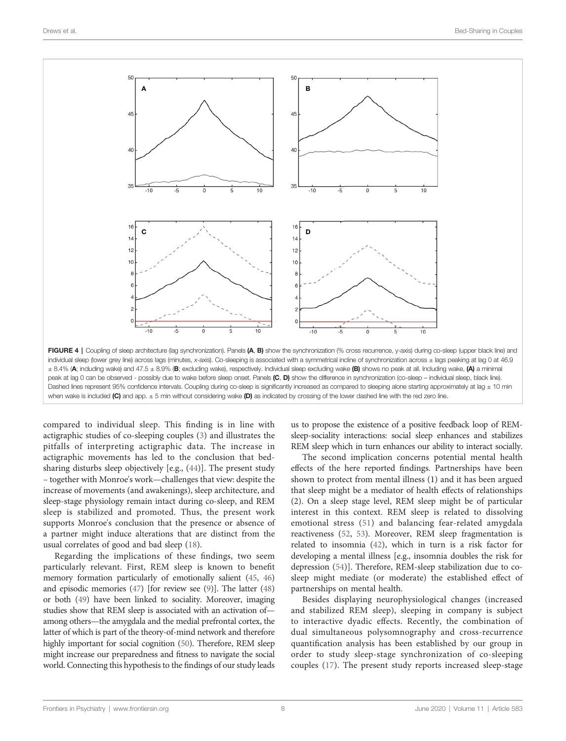<span id="page-7-0"></span>

compared to individual sleep. This finding is in line with actigraphic studies of co-sleeping couples ([3\)](#page-9-0) and illustrates the pitfalls of interpreting actigraphic data. The increase in actigraphic movements has led to the conclusion that bedsharing disturbs sleep objectively [e.g., [\(44](#page-10-0))]. The present study – together with Monroe's work—challenges that view: despite the increase of movements (and awakenings), sleep architecture, and sleep-stage physiology remain intact during co-sleep, and REM sleep is stabilized and promoted. Thus, the present work supports Monroe's conclusion that the presence or absence of a partner might induce alterations that are distinct from the usual correlates of good and bad sleep [\(18](#page-10-0)).

Regarding the implications of these findings, two seem particularly relevant. First, REM sleep is known to benefit memory formation particularly of emotionally salient [\(45](#page-10-0), [46\)](#page-10-0) and episodic memories [\(47](#page-10-0)) [for review see [\(9\)](#page-9-0)]. The latter [\(48\)](#page-10-0) or both [\(49](#page-10-0)) have been linked to sociality. Moreover, imaging studies show that REM sleep is associated with an activation of among others—the amygdala and the medial prefrontal cortex, the latter of which is part of the theory-of-mind network and therefore highly important for social cognition [\(50](#page-10-0)). Therefore, REM sleep might increase our preparedness and fitness to navigate the social world. Connecting this hypothesis to the findings of our study leads

us to propose the existence of a positive feedback loop of REMsleep-sociality interactions: social sleep enhances and stabilizes REM sleep which in turn enhances our ability to interact socially.

The second implication concerns potential mental health effects of the here reported findings. Partnerships have been shown to protect from mental illness (1) and it has been argued that sleep might be a mediator of health effects of relationships (2). On a sleep stage level, REM sleep might be of particular interest in this context. REM sleep is related to dissolving emotional stress ([51\)](#page-10-0) and balancing fear-related amygdala reactiveness [\(52](#page-10-0), [53](#page-10-0)). Moreover, REM sleep fragmentation is related to insomnia ([42\)](#page-10-0), which in turn is a risk factor for developing a mental illness [e.g., insomnia doubles the risk for depression [\(54](#page-10-0))]. Therefore, REM-sleep stabilization due to cosleep might mediate (or moderate) the established effect of partnerships on mental health.

Besides displaying neurophysiological changes (increased and stabilized REM sleep), sleeping in company is subject to interactive dyadic effects. Recently, the combination of dual simultaneous polysomnography and cross-recurrence quantification analysis has been established by our group in order to study sleep-stage synchronization of co-sleeping couples [\(17\)](#page-10-0). The present study reports increased sleep-stage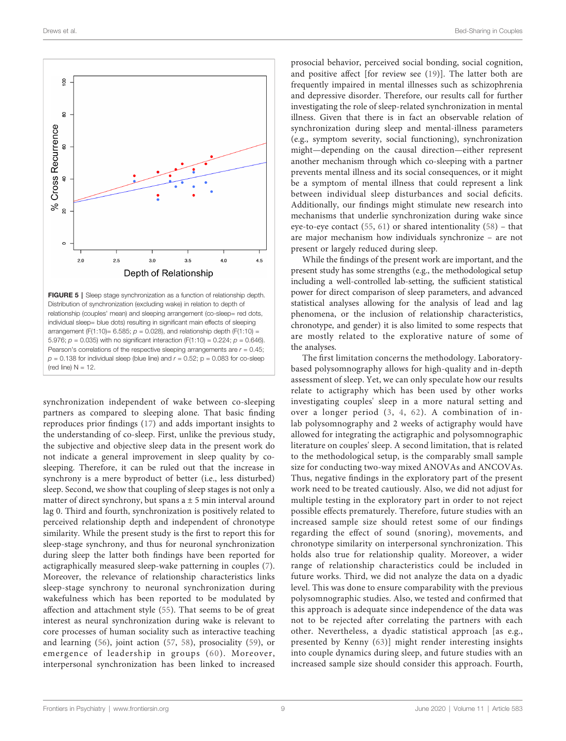<span id="page-8-0"></span>

individual sleep= blue dots) resulting in significant main effects of sleeping arrangement (F(1:10)= 6.585;  $p = 0.028$ ), and relationship depth (F(1:10) = 5.976;  $p = 0.035$ ) with no significant interaction (F(1:10) = 0.224;  $p = 0.646$ ). Pearson's correlations of the respective sleeping arrangements are  $r = 0.45$ ;  $p = 0.138$  for individual sleep (blue line) and  $r = 0.52$ ;  $p = 0.083$  for co-sleep (red line)  $N = 12$ .

synchronization independent of wake between co-sleeping partners as compared to sleeping alone. That basic finding reproduces prior findings ([17\)](#page-10-0) and adds important insights to the understanding of co-sleep. First, unlike the previous study, the subjective and objective sleep data in the present work do not indicate a general improvement in sleep quality by cosleeping. Therefore, it can be ruled out that the increase in synchrony is a mere byproduct of better (i.e., less disturbed) sleep. Second, we show that coupling of sleep stages is not only a matter of direct synchrony, but spans  $a \pm 5$  min interval around lag 0. Third and fourth, synchronization is positively related to perceived relationship depth and independent of chronotype similarity. While the present study is the first to report this for sleep-stage synchrony, and thus for neuronal synchronization during sleep the latter both findings have been reported for actigraphically measured sleep-wake patterning in couples [\(7\)](#page-9-0). Moreover, the relevance of relationship characteristics links sleep-stage synchrony to neuronal synchronization during wakefulness which has been reported to be modulated by affection and attachment style [\(55](#page-11-0)). That seems to be of great interest as neural synchronization during wake is relevant to core processes of human sociality such as interactive teaching and learning ([56](#page-11-0)), joint action [\(57](#page-11-0), [58](#page-11-0)), prosociality ([59](#page-11-0)), or emergence of leadership in groups ([60](#page-11-0)). Moreover, interpersonal synchronization has been linked to increased

prosocial behavior, perceived social bonding, social cognition, and positive affect [for review see [\(19\)](#page-10-0)]. The latter both are frequently impaired in mental illnesses such as schizophrenia and depressive disorder. Therefore, our results call for further investigating the role of sleep-related synchronization in mental illness. Given that there is in fact an observable relation of synchronization during sleep and mental-illness parameters (e.g., symptom severity, social functioning), synchronization might—depending on the causal direction—either represent another mechanism through which co-sleeping with a partner prevents mental illness and its social consequences, or it might be a symptom of mental illness that could represent a link between individual sleep disturbances and social deficits. Additionally, our findings might stimulate new research into mechanisms that underlie synchronization during wake since eye-to-eye contact [\(55,](#page-11-0) [61\)](#page-11-0) or shared intentionality [\(58\)](#page-11-0) – that are major mechanism how individuals synchronize – are not present or largely reduced during sleep.

While the findings of the present work are important, and the present study has some strengths (e.g., the methodological setup including a well-controlled lab-setting, the sufficient statistical power for direct comparison of sleep parameters, and advanced statistical analyses allowing for the analysis of lead and lag phenomena, or the inclusion of relationship characteristics, chronotype, and gender) it is also limited to some respects that are mostly related to the explorative nature of some of the analyses.

The first limitation concerns the methodology. Laboratorybased polysomnography allows for high-quality and in-depth assessment of sleep. Yet, we can only speculate how our results relate to actigraphy which has been used by other works investigating couples' sleep in a more natural setting and over a longer period ([3](#page-9-0), [4](#page-9-0), [62\)](#page-11-0). A combination of inlab polysomnography and 2 weeks of actigraphy would have allowed for integrating the actigraphic and polysomnographic literature on couples' sleep. A second limitation, that is related to the methodological setup, is the comparably small sample size for conducting two-way mixed ANOVAs and ANCOVAs. Thus, negative findings in the exploratory part of the present work need to be treated cautiously. Also, we did not adjust for multiple testing in the exploratory part in order to not reject possible effects prematurely. Therefore, future studies with an increased sample size should retest some of our findings regarding the effect of sound (snoring), movements, and chronotype similarity on interpersonal synchronization. This holds also true for relationship quality. Moreover, a wider range of relationship characteristics could be included in future works. Third, we did not analyze the data on a dyadic level. This was done to ensure comparability with the previous polysomnographic studies. Also, we tested and confirmed that this approach is adequate since independence of the data was not to be rejected after correlating the partners with each other. Nevertheless, a dyadic statistical approach [as e.g., presented by Kenny [\(63\)](#page-11-0)] might render interesting insights into couple dynamics during sleep, and future studies with an increased sample size should consider this approach. Fourth,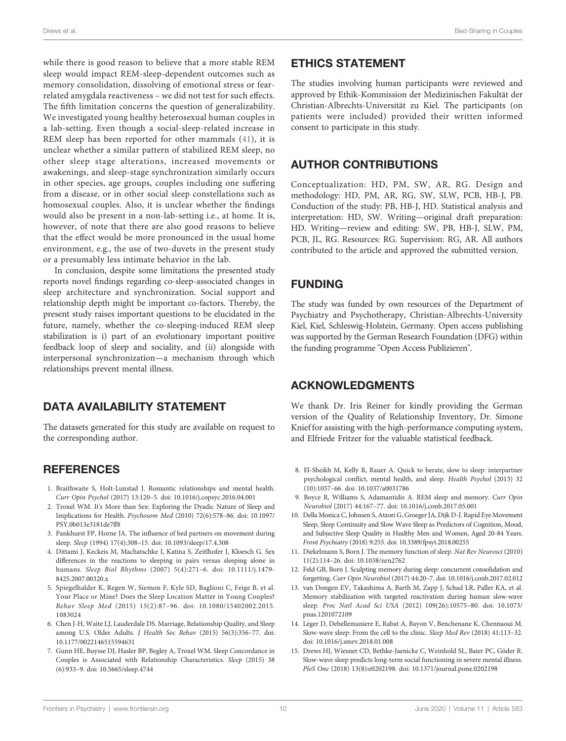<span id="page-9-0"></span>while there is good reason to believe that a more stable REM sleep would impact REM-sleep-dependent outcomes such as memory consolidation, dissolving of emotional stress or fearrelated amygdala reactiveness – we did not test for such effects. The fifth limitation concerns the question of generalizability. We investigated young healthy heterosexual human couples in a lab-setting. Even though a social-sleep-related increase in REM sleep has been reported for other mammals ([41](#page-10-0)), it is unclear whether a similar pattern of stabilized REM sleep, no other sleep stage alterations, increased movements or awakenings, and sleep-stage synchronization similarly occurs in other species, age groups, couples including one suffering from a disease, or in other social sleep constellations such as homosexual couples. Also, it is unclear whether the findings would also be present in a non-lab-setting i.e., at home. It is, however, of note that there are also good reasons to believe that the effect would be more pronounced in the usual home environment, e.g., the use of two-duvets in the present study or a presumably less intimate behavior in the lab.

In conclusion, despite some limitations the presented study reports novel findings regarding co-sleep-associated changes in sleep architecture and synchronization. Social support and relationship depth might be important co-factors. Thereby, the present study raises important questions to be elucidated in the future, namely, whether the co-sleeping-induced REM sleep stabilization is i) part of an evolutionary important positive feedback loop of sleep and sociality, and (ii) alongside with interpersonal synchronization—a mechanism through which relationships prevent mental illness.

# DATA AVAILABILITY STATEMENT

The datasets generated for this study are available on request to the corresponding author.

## **REFERENCES**

- 1. Braithwaite S, Holt-Lunstad J. Romantic relationships and mental health. Curr Opin Psychol (2017) 13:120–5. doi: [10.1016/j.copsyc.2016.04.001](https://doi.org/10.1016/j.copsyc.2016.04.001)
- 2. Troxel WM. It's More than Sex: Exploring the Dyadic Nature of Sleep and Implications for Health. Psychosom Med (2010) 72(6):578–86. doi: [10.1097/](https://doi.org/10.1097/PSY.0b013e3181de7ff8) [PSY.0b013e3181de7ff8](https://doi.org/10.1097/PSY.0b013e3181de7ff8)
- 3. Pankhurst FP, Horne JA. The influence of bed partners on movement during sleep. Sleep (1994) 17(4):308–15. doi: [10.1093/sleep/17.4.308](https://doi.org/10.1093/sleep/17.4.308)
- 4. Dittami J, Keckeis M, Machatschke I, Katina S, Zeitlhofer J, Kloesch G. Sex differences in the reactions to sleeping in pairs versus sleeping alone in humans. Sleep Biol Rhythms (2007) 5(4):271–6. doi: [10.1111/j.1479-](https://doi.org/10.1111/j.1479-8425.2007.00320.x) [8425.2007.00320.x](https://doi.org/10.1111/j.1479-8425.2007.00320.x)
- 5. Spiegelhalder K, Regen W, Siemon F, Kyle SD, Baglioni C, Feige B, et al. Your Place or Mine? Does the Sleep Location Matter in Young Couples? Behav Sleep Med (2015) 15(2):87–96. doi: [10.1080/15402002.2015.](https://doi.org/10.1080/15402002.2015.1083024) [1083024](https://doi.org/10.1080/15402002.2015.1083024)
- 6. Chen J-H, Waite LJ, Lauderdale DS. Marriage, Relationship Quality, and Sleep among U.S. Older Adults. J Health Soc Behav (2015) 56(3):356–77. doi: [10.1177/0022146515594631](https://doi.org/10.1177/0022146515594631)
- 7. Gunn HE, Buysse DJ, Hasler BP, Begley A, Troxel WM. Sleep Concordance in Couples is Associated with Relationship Characteristics. Sleep (2015) 38 (6):933–9. doi: [10.5665/sleep.4744](https://doi.org/10.5665/sleep.4744)

# ETHICS STATEMENT

The studies involving human participants were reviewed and approved by Ethik-Kommission der Medizinischen Fakultät der Christian-Albrechts-Universität zu Kiel. The participants (on patients were included) provided their written informed consent to participate in this study.

# AUTHOR CONTRIBUTIONS

Conceptualization: HD, PM, SW, AR, RG. Design and methodology: HD, PM, AR, RG, SW, SLW, PCB, HB-J, PB. Conduction of the study: PB, HB-J, HD. Statistical analysis and interpretation: HD, SW. Writing—original draft preparation: HD. Writing—review and editing: SW, PB, HB-J, SLW, PM, PCB, JL, RG. Resources: RG. Supervision: RG, AR. All authors contributed to the article and approved the submitted version.

# FUNDING

The study was funded by own resources of the Department of Psychiatry and Psychotherapy, Christian-Albrechts-University Kiel, Kiel, Schleswig-Holstein, Germany. Open access publishing was supported by the German Research Foundation (DFG) within the funding programme "Open Access Publizieren".

# ACKNOWLEDGMENTS

We thank Dr. Iris Reiner for kindly providing the German version of the Quality of Relationship Inventory, Dr. Simone Knief for assisting with the high-performance computing system, and Elfriede Fritzer for the valuable statistical feedback.

- 8. El-Sheikh M, Kelly R, Rauer A. Quick to berate, slow to sleep: interpartner psychological conflict, mental health, and sleep. Health Psychol (2013) 32 (10):1057–66. doi: [10.1037/a0031786](https://doi.org/10.1037/a0031786)
- 9. Boyce R, Williams S, Adamantidis A. REM sleep and memory. Curr Opin Neurobiol (2017) 44:167–77. doi: [10.1016/j.conb.2017.05.001](https://doi.org/10.1016/j.conb.2017.05.001)
- 10. Della Monica C, Johnsen S, Atzori G, Groeger JA, Dijk D-J. Rapid Eye Movement Sleep, Sleep Continuity and Slow Wave Sleep as Predictors of Cognition, Mood, and Subjective Sleep Quality in Healthy Men and Women, Aged 20-84 Years. Front Psychiatry (2018) 9:255. doi: [10.3389/fpsyt.2018.00255](https://doi.org/10.3389/fpsyt.2018.00255)
- 11. Diekelmann S, Born J. The memory function of sleep. Nat Rev Neurosci (2010) 11(2):114–26. doi: [10.1038/nrn2762](https://doi.org/10.1038/nrn2762)
- 12. Feld GB, Born J. Sculpting memory during sleep: concurrent consolidation and forgetting. Curr Opin Neurobiol (2017) 44:20–7. doi: [10.1016/j.conb.2017.02.012](https://doi.org/10.1016/j.conb.2017.02.012)
- 13. van Dongen EV, Takashima A, Barth M, Zapp J, Schad LR, Paller KA, et al. Memory stabilization with targeted reactivation during human slow-wave sleep. Proc Natl Acad Sci USA (2012) 109(26):10575–80. doi: [10.1073/](https://doi.org/10.1073/pnas.1201072109) [pnas.1201072109](https://doi.org/10.1073/pnas.1201072109)
- 14. Léger D, Debellemaniere E, Rabat A, Bayon V, Benchenane K, Chennaoui M. Slow-wave sleep: From the cell to the clinic. Sleep Med Rev (2018) 41:113–32. doi: [10.1016/j.smrv.2018.01.008](https://doi.org/10.1016/j.smrv.2018.01.008)
- 15. Drews HJ, Wiesner CD, Bethke-Jaenicke C, Weinhold SL, Baier PC, Göder R. Slow-wave sleep predicts long-term social functioning in severe mental illness. PloS One (2018) 13(8):e0202198. doi: [10.1371/journal.pone.0202198](https://doi.org/10.1371/journal.pone.0202198)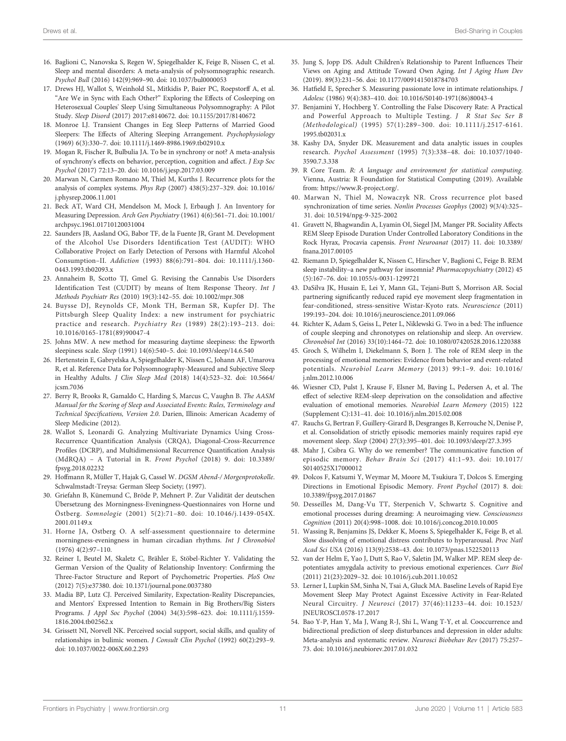- <span id="page-10-0"></span>16. Baglioni C, Nanovska S, Regen W, Spiegelhalder K, Feige B, Nissen C, et al. Sleep and mental disorders: A meta-analysis of polysomnographic research. Psychol Bull (2016) 142(9):969–90. doi: [10.1037/bul0000053](https://doi.org/10.1037/bul0000053)
- 17. Drews HJ, Wallot S, Weinhold SL, Mitkidis P, Baier PC, Roepstorff A, et al. "Are We in Sync with Each Other?" Exploring the Effects of Cosleeping on Heterosexual Couples' Sleep Using Simultaneous Polysomnography: A Pilot Study. Sleep Disord (2017) 2017:e8140672. doi: [10.1155/2017/8140672](https://doi.org/10.1155/2017/8140672)
- 18. Monroe LJ. Transient Changes in Eeg Sleep Patterns of Married Good Sleepers: The Effects of Altering Sleeping Arrangement. Psychophysiology (1969) 6(3):330–7. doi: [10.1111/j.1469-8986.1969.tb02910.x](https://doi.org/10.1111/j.1469-8986.1969.tb02910.x)
- 19. Mogan R, Fischer R, Bulbulia JA. To be in synchrony or not? A meta-analysis of synchrony's effects on behavior, perception, cognition and affect. J Exp Soc Psychol (2017) 72:13–20. doi: [10.1016/j.jesp.2017.03.009](https://doi.org/10.1016/j.jesp.2017.03.009)
- 20. Marwan N, Carmen Romano M, Thiel M, Kurths J. Recurrence plots for the analysis of complex systems. Phys Rep (2007) 438(5):237–329. doi: [10.1016/](https://doi.org/10.1016/j.physrep.2006.11.001) [j.physrep.2006.11.001](https://doi.org/10.1016/j.physrep.2006.11.001)
- 21. Beck AT, Ward CH, Mendelson M, Mock J, Erbaugh J. An Inventory for Measuring Depression. Arch Gen Psychiatry (1961) 4(6):561–71. doi: [10.1001/](https://doi.org/10.1001/archpsyc.1961.01710120031004) [archpsyc.1961.01710120031004](https://doi.org/10.1001/archpsyc.1961.01710120031004)
- 22. Saunders JB, Aasland OG, Babor TF, de la Fuente JR, Grant M. Development of the Alcohol Use Disorders Identification Test (AUDIT): WHO Collaborative Project on Early Detection of Persons with Harmful Alcohol Consumption–II. Addiction (1993) 88(6):791–804. doi: [10.1111/j.1360-](https://doi.org/10.1111/j.1360-0443.1993.tb02093.x) [0443.1993.tb02093.x](https://doi.org/10.1111/j.1360-0443.1993.tb02093.x)
- 23. Annaheim B, Scotto TJ, Gmel G. Revising the Cannabis Use Disorders Identification Test (CUDIT) by means of Item Response Theory. Int J Methods Psychiatr Res (2010) 19(3):142–55. doi: [10.1002/mpr.308](https://doi.org/10.1002/mpr.308)
- 24. Buysse DJ, Reynolds CF, Monk TH, Berman SR, Kupfer DJ. The Pittsburgh Sleep Quality Index: a new instrument for psychiatric practice and research. Psychiatry Res (1989) 28(2):193–213. doi: [10.1016/0165-1781\(89\)90047-4](https://doi.org/10.1016/0165-1781(89)90047-4)
- 25. Johns MW. A new method for measuring daytime sleepiness: the Epworth sleepiness scale. Sleep (1991) 14(6):540–5. doi: [10.1093/sleep/14.6.540](https://doi.org/10.1093/sleep/14.6.540)
- 26. Hertenstein E, Gabryelska A, Spiegelhalder K, Nissen C, Johann AF, Umarova R, et al. Reference Data for Polysomnography-Measured and Subjective Sleep in Healthy Adults. J Clin Sleep Med (2018) 14(4):523–32. doi: [10.5664/](https://doi.org/10.5664/jcsm.7036) [jcsm.7036](https://doi.org/10.5664/jcsm.7036)
- 27. Berry R, Brooks R, Gamaldo C, Harding S, Marcus C, Vaughn B. The AASM Manual for the Scoring of Sleep and Associated Events: Rules, Terminology and Technical Specifications, Version 2.0. Darien, Illinois: American Academy of Sleep Medicine (2012).
- 28. Wallot S, Leonardi G. Analyzing Multivariate Dynamics Using Cross-Recurrence Quantification Analysis (CRQA), Diagonal-Cross-Recurrence Profiles (DCRP), and Multidimensional Recurrence Quantification Analysis (MdRQA) – A Tutorial in R. Front Psychol (2018) 9. doi: [10.3389/](https://doi.org/10.3389/fpsyg.2018.02232) [fpsyg.2018.02232](https://doi.org/10.3389/fpsyg.2018.02232)
- 29. Hoffmann R, Müller T, Hajak G, Cassel W. DGSM Abend-/ Morgenprotokolle. Schwalmstadt-Treysa: German Sleep Society; (1997).
- 30. Griefahn B, Künemund C, Bröde P, Mehnert P. Zur Validität der deutschen Übersetzung des Morningness-Eveningness-Questionnaires von Horne und Östberg. Somnologie (2001) 5(2):71–80. doi: [10.1046/j.1439-054X.](https://doi.org/10.1046/j.1439-054X.2001.01149.x) [2001.01149.x](https://doi.org/10.1046/j.1439-054X.2001.01149.x)
- 31. Horne JA, Ostberg O. A self-assessment questionnaire to determine morningness-eveningness in human circadian rhythms. Int J Chronobiol (1976) 4(2):97–110.
- 32. Reiner I, Beutel M, Skaletz C, Brähler E, Stöbel-Richter Y. Validating the German Version of the Quality of Relationship Inventory: Confirming the Three-Factor Structure and Report of Psychometric Properties. PloS One (2012) 7(5):e37380. doi: [10.1371/journal.pone.0037380](https://doi.org/10.1371/journal.pone.0037380)
- 33. Madia BP, Lutz CJ. Perceived Similarity, Expectation-Reality Discrepancies, and Mentors' Expressed Intention to Remain in Big Brothers/Big Sisters Programs. J Appl Soc Psychol (2004) 34(3):598–623. doi: [10.1111/j.1559-](https://doi.org/10.1111/j.1559-1816.2004.tb02562.x) [1816.2004.tb02562.x](https://doi.org/10.1111/j.1559-1816.2004.tb02562.x)
- 34. Grissett NI, Norvell NK. Perceived social support, social skills, and quality of relationships in bulimic women. J Consult Clin Psychol (1992) 60(2):293–9. doi: [10.1037/0022-006X.60.2.293](https://doi.org/10.1037/0022-006X.60.2.293)
- 35. Jung S, Jopp DS. Adult Children's Relationship to Parent Influences Their Views on Aging and Attitude Toward Own Aging. Int J Aging Hum Dev (2019). 89(3):231–56. doi: [10.1177/0091415018784703](https://doi.org/10.1177/0091415018784703)
- 36. Hatfield E, Sprecher S. Measuring passionate love in intimate relationships. J Adolesc (1986) 9(4):383–410. doi: [10.1016/S0140-1971\(86\)80043-4](https://doi.org/10.1016/S0140-1971(86)80043-4)
- 37. Benjamini Y, Hochberg Y. Controlling the False Discovery Rate: A Practical and Powerful Approach to Multiple Testing. J R Stat Soc Ser B (Methodological) (1995) 57(1):289–300. doi: [10.1111/j.2517-6161.](https://doi.org/10.1111/j.2517-6161.1995.tb02031.x) [1995.tb02031.x](https://doi.org/10.1111/j.2517-6161.1995.tb02031.x)
- 38. Kashy DA, Snyder DK. Measurement and data analytic issues in couples research. Psychol Assessment (1995) 7(3):338–48. doi: [10.1037/1040-](https://doi.org/10.1037/1040-3590.7.3.338) [3590.7.3.338](https://doi.org/10.1037/1040-3590.7.3.338)
- 39. R Core Team. R: A language and environment for statistical computing. Vienna, Austria: R Foundation for Statistical Computing (2019). Available from: [https://www.R-project.org/.](https://www.R-project.org/)
- 40. Marwan N, Thiel M, Nowaczyk NR. Cross recurrence plot based synchronization of time series. Nonlin Processes Geophys (2002) 9(3/4):325– 31. doi: [10.5194/npg-9-325-2002](https://doi.org/10.5194/npg-9-325-2002)
- 41. Gravett N, Bhagwandin A, Lyamin OI, Siegel JM, Manger PR. Sociality Affects REM Sleep Episode Duration Under Controlled Laboratory Conditions in the Rock Hyrax, Procavia capensis. Front Neuroanat (2017) 11. doi: [10.3389/](https://doi.org/10.3389/fnana.2017.00105) [fnana.2017.00105](https://doi.org/10.3389/fnana.2017.00105)
- 42. Riemann D, Spiegelhalder K, Nissen C, Hirscher V, Baglioni C, Feige B. REM sleep instability–a new pathway for insomnia? Pharmacopsychiatry (2012) 45 (5):167–76. doi: [10.1055/s-0031-1299721](https://doi.org/10.1055/s-0031-1299721)
- 43. DaSilva JK, Husain E, Lei Y, Mann GL, Tejani-Butt S, Morrison AR. Social partnering significantly reduced rapid eye movement sleep fragmentation in fear-conditioned, stress-sensitive Wistar-Kyoto rats. Neuroscience (2011) 199:193–204. doi: [10.1016/j.neuroscience.2011.09.066](https://doi.org/10.1016/j.neuroscience.2011.09.066)
- 44. Richter K, Adam S, Geiss L, Peter L, Niklewski G. Two in a bed: The influence of couple sleeping and chronotypes on relationship and sleep. An overview. Chronobiol Int (2016) 33(10):1464–72. doi: [10.1080/07420528.2016.1220388](https://doi.org/10.1080/07420528.2016.1220388)
- 45. Groch S, Wilhelm I, Diekelmann S, Born J. The role of REM sleep in the processing of emotional memories: Evidence from behavior and event-related potentials. Neurobiol Learn Memory (2013) 99:1–9. doi: [10.1016/](https://doi.org/10.1016/j.nlm.2012.10.006) [j.nlm.2012.10.006](https://doi.org/10.1016/j.nlm.2012.10.006)
- 46. Wiesner CD, Pulst J, Krause F, Elsner M, Baving L, Pedersen A, et al. The effect of selective REM-sleep deprivation on the consolidation and affective evaluation of emotional memories. Neurobiol Learn Memory (2015) 122 (Supplement C):131–41. doi: [10.1016/j.nlm.2015.02.008](https://doi.org/10.1016/j.nlm.2015.02.008)
- 47. Rauchs G, Bertran F, Guillery-Girard B, Desgranges B, Kerrouche N, Denise P, et al. Consolidation of strictly episodic memories mainly requires rapid eye movement sleep. Sleep (2004) 27(3):395–401. doi: [10.1093/sleep/27.3.395](https://doi.org/10.1093/sleep/27.3.395)
- 48. Mahr J, Csibra G. Why do we remember? The communicative function of episodic memory. Behav Brain Sci (2017) 41:1–93. doi: [10.1017/](https://doi.org/10.1017/S0140525X17000012) [S0140525X17000012](https://doi.org/10.1017/S0140525X17000012)
- 49. Dolcos F, Katsumi Y, Weymar M, Moore M, Tsukiura T, Dolcos S. Emerging Directions in Emotional Episodic Memory. Front Psychol (2017) 8. doi: [10.3389/fpsyg.2017.01867](https://doi.org/10.3389/fpsyg.2017.01867)
- 50. Desseilles M, Dang-Vu TT, Sterpenich V, Schwartz S. Cognitive and emotional processes during dreaming: A neuroimaging view. Consciousness Cognition (2011) 20(4):998–1008. doi: [10.1016/j.concog.2010.10.005](https://doi.org/10.1016/j.concog.2010.10.005)
- 51. Wassing R, Benjamins JS, Dekker K, Moens S, Spiegelhalder K, Feige B, et al. Slow dissolving of emotional distress contributes to hyperarousal. Proc Natl Acad Sci USA (2016) 113(9):2538–43. doi: [10.1073/pnas.1522520113](https://doi.org/10.1073/pnas.1522520113)
- 52. van der Helm E, Yao J, Dutt S, Rao V, Saletin JM, Walker MP. REM sleep depotentiates amygdala activity to previous emotional experiences. Curr Biol (2011) 21(23):2029–32. doi: [10.1016/j.cub.2011.10.052](https://doi.org/10.1016/j.cub.2011.10.052)
- 53. Lerner I, Lupkin SM, Sinha N, Tsai A, Gluck MA. Baseline Levels of Rapid Eye Movement Sleep May Protect Against Excessive Activity in Fear-Related Neural Circuitry. J Neurosci (2017) 37(46):11233–44. doi: [10.1523/](https://doi.org/10.1523/JNEUROSCI.0578-17.2017) [JNEUROSCI.0578-17.2017](https://doi.org/10.1523/JNEUROSCI.0578-17.2017)
- 54. Bao Y-P, Han Y, Ma J, Wang R-J, Shi L, Wang T-Y, et al. Cooccurrence and bidirectional prediction of sleep disturbances and depression in older adults: Meta-analysis and systematic review. Neurosci Biobehav Rev (2017) 75:257– 73. doi: [10.1016/j.neubiorev.2017.01.032](https://doi.org/10.1016/j.neubiorev.2017.01.032)